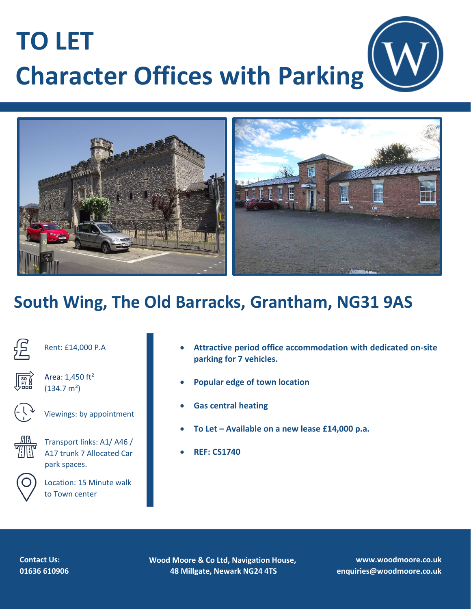# **TO LET Character Offices with Parking**



## **South Wing, The Old Barracks, Grantham, NG31 9AS**



Rent: £14,000 P.A



Area: 1,450 ft²  $(134.7 m<sup>2</sup>)$ 



Viewings: by appointment



Transport links: A1/ A46 / A17 trunk 7 Allocated Car park spaces.



Location: 15 Minute walk to Town center

- **Attractive period office accommodation with dedicated on-site parking for 7 vehicles.**
- **Popular edge of town location**
- **Gas central heating**
- **To Let – Available on a new lease £14,000 p.a.**
- **REF: CS1740**



**Wood Moore & Co Ltd, Navigation House, 48 Millgate, Newark NG24 4TS**

**www.woodmoore.co.uk enquiries@woodmoore.co.uk**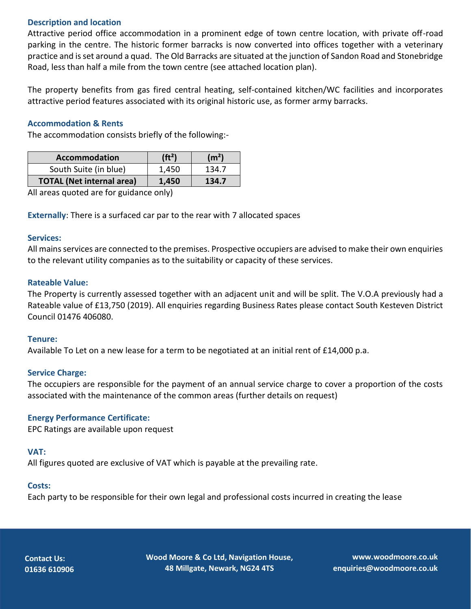### **Description and location**

Attractive period office accommodation in a prominent edge of town centre location, with private off-road parking in the centre. The historic former barracks is now converted into offices together with a veterinary practice and is set around a quad. The Old Barracks are situated at the junction of Sandon Road and Stonebridge Road, less than half a mile from the town centre (see attached location plan).

The property benefits from gas fired central heating, self-contained kitchen/WC facilities and incorporates attractive period features associated with its original historic use, as former army barracks.

### **Accommodation & Rents**

The accommodation consists briefly of the following:-

| <b>Accommodation</b>             | (ft <sup>2</sup> ) | (m <sup>2</sup> ) |
|----------------------------------|--------------------|-------------------|
| South Suite (in blue)            | 1.450              | 134.7             |
| <b>TOTAL (Net internal area)</b> | 1.450              | 134.7             |

All areas quoted are for guidance only)

**Externally**: There is a surfaced car par to the rear with 7 allocated spaces

#### **Services:**

All mains services are connected to the premises. Prospective occupiers are advised to make their own enquiries to the relevant utility companies as to the suitability or capacity of these services.

### **Rateable Value:**

The Property is currently assessed together with an adjacent unit and will be split. The V.O.A previously had a Rateable value of £13,750 (2019). All enquiries regarding Business Rates please contact South Kesteven District Council 01476 406080.

### **Tenure:**

Available To Let on a new lease for a term to be negotiated at an initial rent of £14,000 p.a.

### **Service Charge:**

The occupiers are responsible for the payment of an annual service charge to cover a proportion of the costs associated with the maintenance of the common areas (further details on request)

### **Energy Performance Certificate:**

EPC Ratings are available upon request

### **VAT:**

All figures quoted are exclusive of VAT which is payable at the prevailing rate.

### **Costs:**

Each party to be responsible for their own legal and professional costs incurred in creating the lease

**Contact Us: 01636 610906**  **Wood Moore & Co Ltd, Navigation House, 48 Millgate, Newark, NG24 4TS**

**www.woodmoore.co.uk enquiries@woodmoore.co.uk**